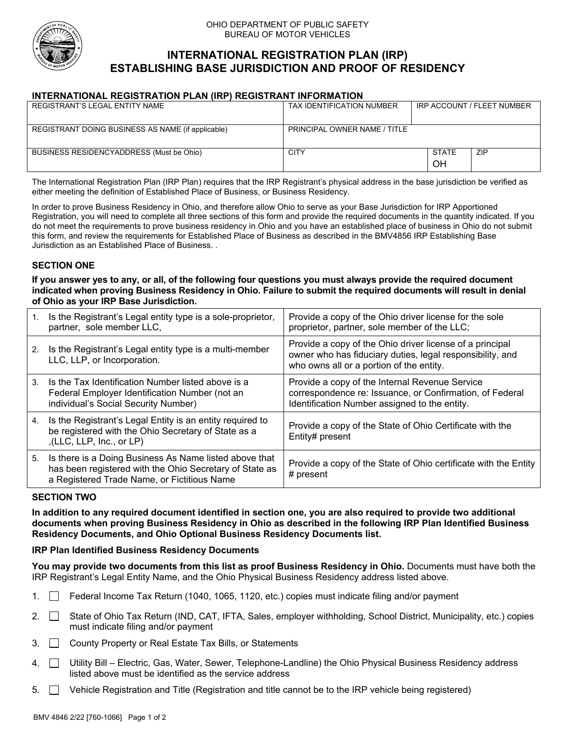

#### OHIO DEPARTMENT OF PUBLIC SAFETY BUREAU OF MOTOR VEHICLES

# **INTERNATIONAL REGISTRATION PLAN (IRP) ESTABLISHING BASE JURISDICTION AND PROOF OF RESIDENCY**

### **INTERNATIONAL REGISTRATION PLAN (IRP) REGISTRANT INFORMATION**

| REGISTRANT'S LEGAL ENTITY NAME                    | <b>TAX IDENTIFICATION NUMBER</b> |                    | IRP ACCOUNT / FLEET NUMBER |
|---------------------------------------------------|----------------------------------|--------------------|----------------------------|
| REGISTRANT DOING BUSINESS AS NAME (if applicable) | PRINCIPAL OWNER NAME / TITLE     |                    |                            |
| BUSINESS RESIDENCYADDRESS (Must be Ohio)          | <b>CITY</b>                      | <b>STATE</b><br>OH | ZIP                        |

The International Registration Plan (IRP Plan) requires that the IRP Registrant's physical address in the base jurisdiction be verified as either meeting the definition of Established Place of Business, or Business Residency.

In order to prove Business Residency in Ohio, and therefore allow Ohio to serve as your Base Jurisdiction for IRP Apportioned Registration, you will need to complete all three sections of this form and provide the required documents in the quantity indicated. If you do not meet the requirements to prove business residency in Ohio and you have an established place of business in Ohio do not submit this form, and review the requirements for Established Place of Business as described in the BMV4856 IRP Establishing Base Jurisdiction as an Established Place of Business. .

## **SECTION ONE**

**If you answer yes to any, or all, of the following four questions you must always provide the required document indicated when proving Business Residency in Ohio. Failure to submit the required documents will result in denial of Ohio as your IRP Base Jurisdiction.**

|                | Is the Registrant's Legal entity type is a sole-proprietor,<br>partner, sole member LLC,                                                                         | Provide a copy of the Ohio driver license for the sole<br>proprietor, partner, sole member of the LLC;                                                            |
|----------------|------------------------------------------------------------------------------------------------------------------------------------------------------------------|-------------------------------------------------------------------------------------------------------------------------------------------------------------------|
| 2 <sup>2</sup> | Is the Registrant's Legal entity type is a multi-member<br>LLC, LLP, or Incorporation.                                                                           | Provide a copy of the Ohio driver license of a principal<br>owner who has fiduciary duties, legal responsibility, and<br>who owns all or a portion of the entity. |
|                | 3. Is the Tax Identification Number listed above is a<br>Federal Employer Identification Number (not an<br>individual's Social Security Number)                  | Provide a copy of the Internal Revenue Service<br>correspondence re: Issuance, or Confirmation, of Federal<br>Identification Number assigned to the entity.       |
| 4.             | Is the Registrant's Legal Entity is an entity required to<br>be registered with the Ohio Secretary of State as a<br>, $(LLC, LLP, Inc., or LP)$                  | Provide a copy of the State of Ohio Certificate with the<br>Entity# present                                                                                       |
| 5.             | Is there is a Doing Business As Name listed above that<br>has been registered with the Ohio Secretary of State as<br>a Registered Trade Name, or Fictitious Name | Provide a copy of the State of Ohio certificate with the Entity<br># present                                                                                      |

### **SECTION TWO**

**In addition to any required document identified in section one, you are also required to provide two additional documents when proving Business Residency in Ohio as described in the following IRP Plan Identified Business Residency Documents, and Ohio Optional Business Residency Documents list.** 

### **IRP Plan Identified Business Residency Documents**

**You may provide two documents from this list as proof Business Residency in Ohio.** Documents must have both the IRP Registrant's Legal Entity Name, and the Ohio Physical Business Residency address listed above.

- 1. Federal Income Tax Return (1040, 1065, 1120, etc.) copies must indicate filing and/or payment
- 2. State of Ohio Tax Return (IND, CAT, IFTA, Sales, employer withholding, School District, Municipality, etc.) copies must indicate filing and/or payment
- 3. County Property or Real Estate Tax Bills, or Statements
- 4.  $\Box$  Utility Bill Electric, Gas, Water, Sewer, Telephone-Landline) the Ohio Physical Business Residency address listed above must be identified as the service address
- 5. Vehicle Registration and Title (Registration and title cannot be to the IRP vehicle being registered)